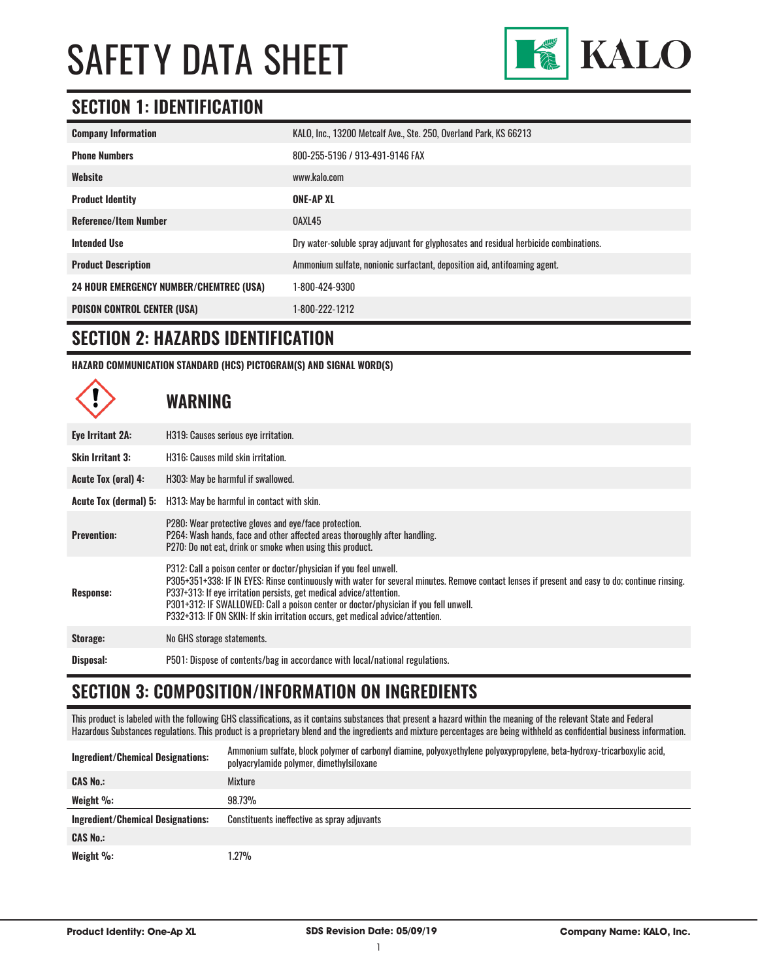

### **SECTION 1: IDENTIFICATION**

| <b>Company Information</b>                     | KALO, Inc., 13200 Metcalf Ave., Ste. 250, Overland Park, KS 66213                     |
|------------------------------------------------|---------------------------------------------------------------------------------------|
| <b>Phone Numbers</b>                           | 800-255-5196 / 913-491-9146 FAX                                                       |
| Website                                        | www.kalo.com                                                                          |
| <b>Product Identity</b>                        | ONE-AP XL                                                                             |
| <b>Reference/Item Number</b>                   | OAXL45                                                                                |
| <b>Intended Use</b>                            | Dry water-soluble spray adjuvant for glyphosates and residual herbicide combinations. |
| <b>Product Description</b>                     | Ammonium sulfate, nonionic surfactant, deposition aid, antifoaming agent.             |
| <b>24 HOUR EMERGENCY NUMBER/CHEMTREC (USA)</b> | 1-800-424-9300                                                                        |
| <b>POISON CONTROL CENTER (USA)</b>             | 1-800-222-1212                                                                        |

#### **SECTION 2: HAZARDS IDENTIFICATION**

**HAZARD COMMUNICATION STANDARD (HCS) PICTOGRAM(S) AND SIGNAL WORD(S)**

# **WARNING**

| Eye Irritant 2A:        | H319: Causes serious eye irritation.                                                                                                                                                                                                                                                                                                                                                                                                                                   |
|-------------------------|------------------------------------------------------------------------------------------------------------------------------------------------------------------------------------------------------------------------------------------------------------------------------------------------------------------------------------------------------------------------------------------------------------------------------------------------------------------------|
| <b>Skin Irritant 3:</b> | H316: Causes mild skin irritation.                                                                                                                                                                                                                                                                                                                                                                                                                                     |
| Acute Tox (oral) 4:     | H303: May be harmful if swallowed.                                                                                                                                                                                                                                                                                                                                                                                                                                     |
| Acute Tox (dermal) 5:   | H313: May be harmful in contact with skin.                                                                                                                                                                                                                                                                                                                                                                                                                             |
| <b>Prevention:</b>      | P280: Wear protective gloves and eye/face protection.<br>P264: Wash hands, face and other affected areas thoroughly after handling.<br>P270: Do not eat, drink or smoke when using this product.                                                                                                                                                                                                                                                                       |
| Response:               | P312: Call a poison center or doctor/physician if you feel unwell.<br>P305+351+338: IF IN EYES: Rinse continuously with water for several minutes. Remove contact lenses if present and easy to do; continue rinsing.<br>P337+313: If eye irritation persists, get medical advice/attention.<br>P301+312: IF SWALLOWED: Call a poison center or doctor/physician if you fell unwell.<br>P332+313: IF ON SKIN: If skin irritation occurs, get medical advice/attention. |
| Storage:                | No GHS storage statements.                                                                                                                                                                                                                                                                                                                                                                                                                                             |
| Disposal:               | P501: Dispose of contents/bag in accordance with local/national regulations.                                                                                                                                                                                                                                                                                                                                                                                           |

#### **SECTION 3: COMPOSITION/INFORMATION ON INGREDIENTS**

This product is labeled with the following GHS classifications, as it contains substances that present a hazard within the meaning of the relevant State and Federal Hazardous Substances regulations. This product is a proprietary blend and the ingredients and mixture percentages are being withheld as confidential business information.

| <b>Ingredient/Chemical Designations:</b> | Ammonium sulfate, block polymer of carbonyl diamine, polyoxyethylene polyoxypropylene, beta-hydroxy-tricarboxylic acid,<br>polyacrylamide polymer, dimethylsiloxane |
|------------------------------------------|---------------------------------------------------------------------------------------------------------------------------------------------------------------------|
| <b>CAS No.:</b>                          | Mixture                                                                                                                                                             |
| Weight $\%$ :                            | 98.73%                                                                                                                                                              |
| Ingredient/Chemical Designations:        | Constituents ineffective as spray adjuvants                                                                                                                         |
| <b>CAS No.:</b>                          |                                                                                                                                                                     |
| Weight $\%$ :                            | 1.27%                                                                                                                                                               |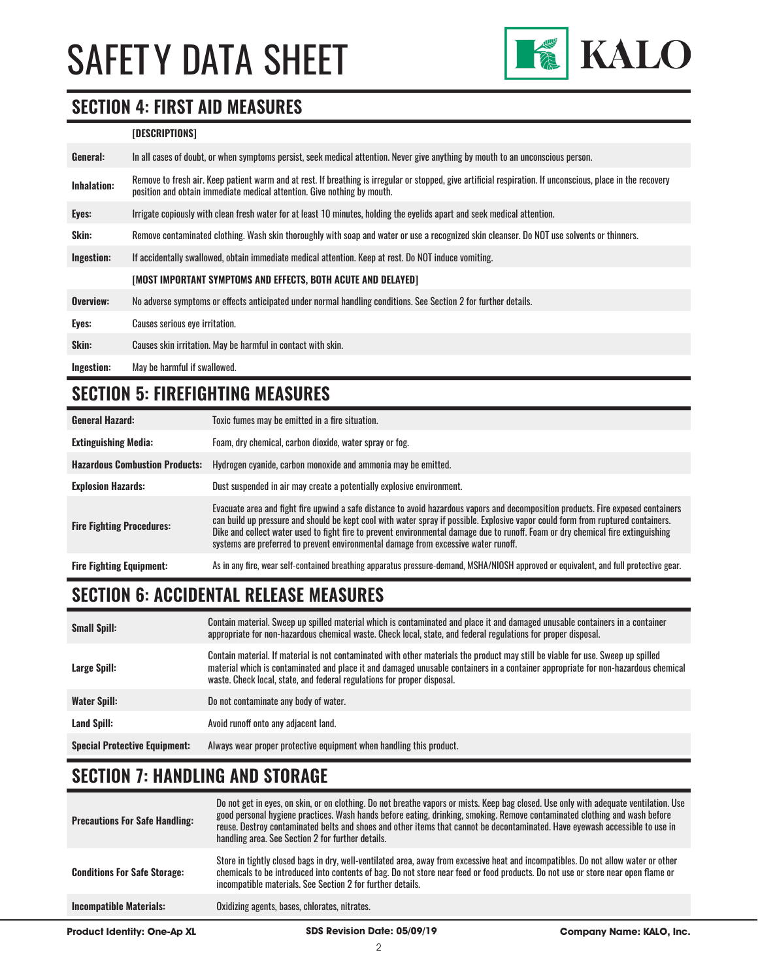

#### **SECTION 4: FIRST AID MEASURES**

#### **[DESCRIPTIONS]**

| General:           | In all cases of doubt, or when symptoms persist, seek medical attention. Never give anything by mouth to an unconscious person.                                                                                                         |
|--------------------|-----------------------------------------------------------------------------------------------------------------------------------------------------------------------------------------------------------------------------------------|
| <b>Inhalation:</b> | Remove to fresh air. Keep patient warm and at rest. If breathing is irregular or stopped, give artificial respiration. If unconscious, place in the recovery<br>position and obtain immediate medical attention. Give nothing by mouth. |
| Eyes:              | Irrigate copiously with clean fresh water for at least 10 minutes, holding the eyelids apart and seek medical attention.                                                                                                                |
| Skin:              | Remove contaminated clothing. Wash skin thoroughly with soap and water or use a recognized skin cleanser. Do NOT use solvents or thinners.                                                                                              |
| Ingestion:         | If accidentally swallowed, obtain immediate medical attention. Keep at rest, Do NOT induce vomiting.                                                                                                                                    |
|                    | [MOST IMPORTANT SYMPTOMS AND EFFECTS, BOTH ACUTE AND DELAYED]                                                                                                                                                                           |
| Overview:          | No adverse symptoms or effects anticipated under normal handling conditions. See Section 2 for further details.                                                                                                                         |
| Eyes:              | Causes serious eye irritation.                                                                                                                                                                                                          |
| Skin:              | Causes skin irritation. May be harmful in contact with skin.                                                                                                                                                                            |
| Ingestion:         | May be harmful if swallowed.                                                                                                                                                                                                            |

# **SECTION 5: FIREFIGHTING MEASURES**

| <b>General Hazard:</b>                | Toxic fumes may be emitted in a fire situation.                                                                                                                                                                                                                                                                                                                                                                                                                                                 |
|---------------------------------------|-------------------------------------------------------------------------------------------------------------------------------------------------------------------------------------------------------------------------------------------------------------------------------------------------------------------------------------------------------------------------------------------------------------------------------------------------------------------------------------------------|
| <b>Extinguishing Media:</b>           | Foam, dry chemical, carbon dioxide, water spray or fog.                                                                                                                                                                                                                                                                                                                                                                                                                                         |
| <b>Hazardous Combustion Products:</b> | Hydrogen cyanide, carbon monoxide and ammonia may be emitted.                                                                                                                                                                                                                                                                                                                                                                                                                                   |
| <b>Explosion Hazards:</b>             | Dust suspended in air may create a potentially explosive environment.                                                                                                                                                                                                                                                                                                                                                                                                                           |
| <b>Fire Fighting Procedures:</b>      | Evacuate area and fight fire upwind a safe distance to avoid hazardous vapors and decomposition products. Fire exposed containers<br>can build up pressure and should be kept cool with water spray if possible. Explosive vapor could form from ruptured containers.<br>Dike and collect water used to fight fire to prevent environmental damage due to runoff. Foam or dry chemical fire extinguishing<br>systems are preferred to prevent environmental damage from excessive water runoff. |
| <b>Fire Fighting Equipment:</b>       | As in any fire, wear self-contained breathing apparatus pressure-demand, MSHA/NIOSH approved or equivalent, and full protective gear.                                                                                                                                                                                                                                                                                                                                                           |

# **SECTION 6: ACCIDENTAL RELEASE MEASURES**

| <b>Small Spill:</b>                  | Contain material. Sweep up spilled material which is contaminated and place it and damaged unusable containers in a container<br>appropriate for non-hazardous chemical waste. Check local, state, and federal regulations for proper disposal.                                                                                                  |
|--------------------------------------|--------------------------------------------------------------------------------------------------------------------------------------------------------------------------------------------------------------------------------------------------------------------------------------------------------------------------------------------------|
| Large Spill:                         | Contain material. If material is not contaminated with other materials the product may still be viable for use. Sweep up spilled<br>material which is contaminated and place it and damaged unusable containers in a container appropriate for non-hazardous chemical<br>waste. Check local, state, and federal regulations for proper disposal. |
| <b>Water Spill:</b>                  | Do not contaminate any body of water.                                                                                                                                                                                                                                                                                                            |
| Land Spill:                          | Avoid runoff onto any adjacent land.                                                                                                                                                                                                                                                                                                             |
| <b>Special Protective Equipment:</b> | Always wear proper protective equipment when handling this product.                                                                                                                                                                                                                                                                              |

### **SECTION 7: HANDLING AND STORAGE**

| <b>Product Identity: One-Ap XL</b>    | SDS Revision Date: 05/09/19                                                                                                                                                                                                                                                                                                                                                                                                                              | <b>Company Name: KALO, Inc.</b> |
|---------------------------------------|----------------------------------------------------------------------------------------------------------------------------------------------------------------------------------------------------------------------------------------------------------------------------------------------------------------------------------------------------------------------------------------------------------------------------------------------------------|---------------------------------|
| <b>Incompatible Materials:</b>        | Oxidizing agents, bases, chlorates, nitrates.                                                                                                                                                                                                                                                                                                                                                                                                            |                                 |
| <b>Conditions For Safe Storage:</b>   | Store in tightly closed bags in dry, well-ventilated area, away from excessive heat and incompatibles. Do not allow water or other<br>chemicals to be introduced into contents of bag. Do not store near feed or food products. Do not use or store near open flame or<br>incompatible materials. See Section 2 for further details.                                                                                                                     |                                 |
| <b>Precautions For Safe Handling:</b> | Do not get in eyes, on skin, or on clothing. Do not breathe vapors or mists. Keep bag closed. Use only with adequate ventilation. Use<br>good personal hygiene practices. Wash hands before eating, drinking, smoking. Remove contaminated clothing and wash before<br>reuse. Destroy contaminated belts and shoes and other items that cannot be decontaminated. Have eyewash accessible to use in<br>handling area. See Section 2 for further details. |                                 |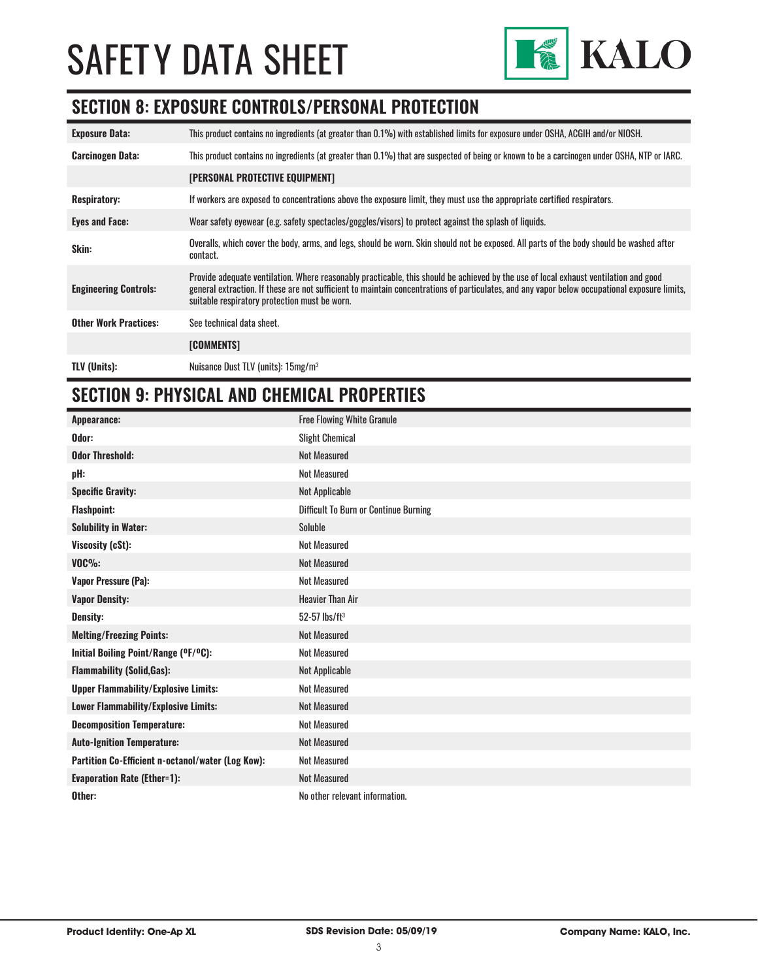

#### **SECTION 8: EXPOSURE CONTROLS/PERSONAL PROTECTION**

| <b>Exposure Data:</b>        | This product contains no ingredients (at greater than 0.1%) with established limits for exposure under OSHA, ACGIH and/or NIOSH.                                                                                                                                                                                                       |
|------------------------------|----------------------------------------------------------------------------------------------------------------------------------------------------------------------------------------------------------------------------------------------------------------------------------------------------------------------------------------|
| <b>Carcinogen Data:</b>      | This product contains no ingredients (at greater than 0.1%) that are suspected of being or known to be a carcinogen under OSHA, NTP or IARC.                                                                                                                                                                                           |
|                              | <b>[PERSONAL PROTECTIVE EQUIPMENT]</b>                                                                                                                                                                                                                                                                                                 |
| <b>Respiratory:</b>          | If workers are exposed to concentrations above the exposure limit, they must use the appropriate certified respirators.                                                                                                                                                                                                                |
| <b>Eyes and Face:</b>        | Wear safety eyewear (e.g. safety spectacles/goggles/visors) to protect against the splash of liquids.                                                                                                                                                                                                                                  |
| Skin:                        | Overalls, which cover the body, arms, and legs, should be worn. Skin should not be exposed. All parts of the body should be washed after<br>contact.                                                                                                                                                                                   |
| <b>Engineering Controls:</b> | Provide adequate ventilation. Where reasonably practicable, this should be achieved by the use of local exhaust ventilation and good<br>general extraction. If these are not sufficient to maintain concentrations of particulates, and any vapor below occupational exposure limits,<br>suitable respiratory protection must be worn. |
| <b>Other Work Practices:</b> | See technical data sheet.                                                                                                                                                                                                                                                                                                              |
|                              | [COMMENTS]                                                                                                                                                                                                                                                                                                                             |
| <b>TLV (Units):</b>          | Nuisance Dust TLV (units): 15mg/m <sup>3</sup>                                                                                                                                                                                                                                                                                         |

#### **SECTION 9: PHYSICAL AND CHEMICAL PROPERTIES**

| Appearance:                                       | <b>Free Flowing White Granule</b>            |
|---------------------------------------------------|----------------------------------------------|
| Odor:                                             | <b>Slight Chemical</b>                       |
| <b>Odor Threshold:</b>                            | <b>Not Measured</b>                          |
| pH:                                               | <b>Not Measured</b>                          |
| <b>Specific Gravity:</b>                          | Not Applicable                               |
| <b>Flashpoint:</b>                                | <b>Difficult To Burn or Continue Burning</b> |
| <b>Solubility in Water:</b>                       | Soluble                                      |
| Viscosity (cSt):                                  | <b>Not Measured</b>                          |
| <b>VOC%:</b>                                      | <b>Not Measured</b>                          |
| <b>Vapor Pressure (Pa):</b>                       | <b>Not Measured</b>                          |
| <b>Vapor Density:</b>                             | <b>Heavier Than Air</b>                      |
| <b>Density:</b>                                   | $52 - 57$ lbs/ft <sup>3</sup>                |
| <b>Melting/Freezing Points:</b>                   | <b>Not Measured</b>                          |
| Initial Boiling Point/Range (°F/°C):              | <b>Not Measured</b>                          |
| <b>Flammability (Solid, Gas):</b>                 | Not Applicable                               |
| <b>Upper Flammability/Explosive Limits:</b>       | <b>Not Measured</b>                          |
| Lower Flammability/Explosive Limits:              | <b>Not Measured</b>                          |
| <b>Decomposition Temperature:</b>                 | <b>Not Measured</b>                          |
| <b>Auto-Ignition Temperature:</b>                 | <b>Not Measured</b>                          |
| Partition Co-Efficient n-octanol/water (Log Kow): | <b>Not Measured</b>                          |
| <b>Evaporation Rate (Ether=1):</b>                | <b>Not Measured</b>                          |
| Other:                                            | No other relevant information.               |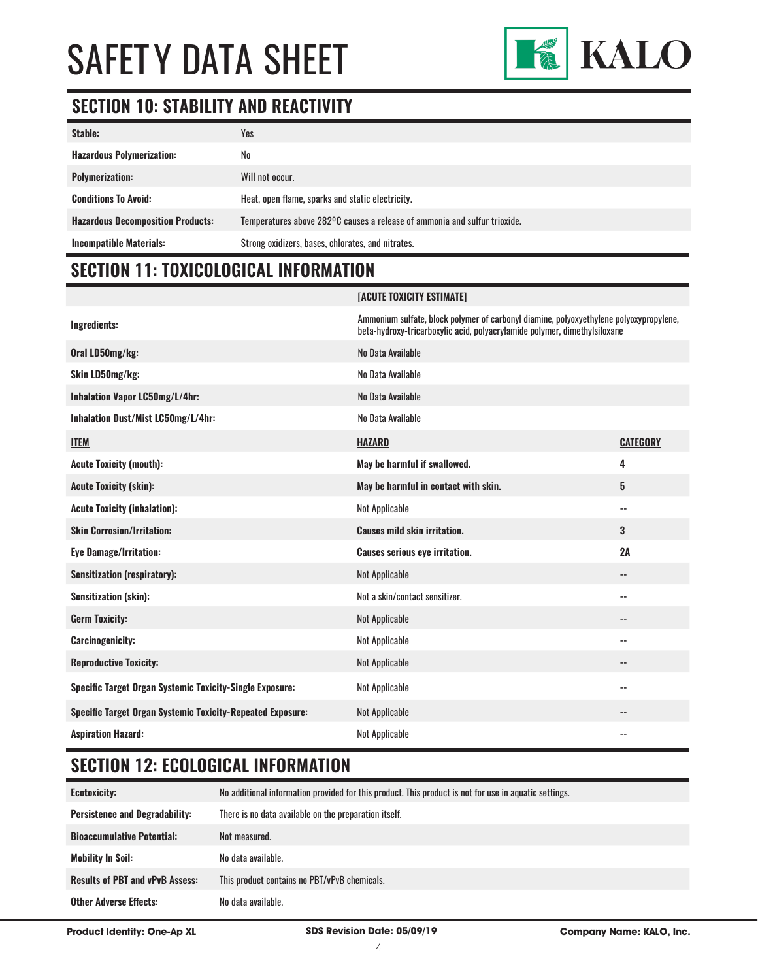

### **SECTION 10: STABILITY AND REACTIVITY**

| Stable:                                  | Yes                                                                       |
|------------------------------------------|---------------------------------------------------------------------------|
| <b>Hazardous Polymerization:</b>         | No                                                                        |
| <b>Polymerization:</b>                   | Will not occur.                                                           |
| <b>Conditions To Avoid:</b>              | Heat, open flame, sparks and static electricity.                          |
| <b>Hazardous Decomposition Products:</b> | Temperatures above 282°C causes a release of ammonia and sulfur trioxide. |
| <b>Incompatible Materials:</b>           | Strong oxidizers, bases, chlorates, and nitrates.                         |

**[ACUTE TOXICITY ESTIMATE]**

# **SECTION 11: TOXICOLOGICAL INFORMATION**

| Ingredients:                                                      | Ammonium sulfate, block polymer of carbonyl diamine, polyoxyethylene polyoxypropylene,<br>beta-hydroxy-tricarboxylic acid, polyacrylamide polymer, dimethylsiloxane |                          |
|-------------------------------------------------------------------|---------------------------------------------------------------------------------------------------------------------------------------------------------------------|--------------------------|
| Oral LD50mg/kg:                                                   | No Data Available                                                                                                                                                   |                          |
| Skin LD50mg/kg:                                                   | No Data Available                                                                                                                                                   |                          |
| Inhalation Vapor LC50mg/L/4hr:                                    | No Data Available                                                                                                                                                   |                          |
| Inhalation Dust/Mist LC50mg/L/4hr:                                | No Data Available                                                                                                                                                   |                          |
| <b>ITEM</b>                                                       | <b>HAZARD</b>                                                                                                                                                       | <b>CATEGORY</b>          |
| <b>Acute Toxicity (mouth):</b>                                    | May be harmful if swallowed.                                                                                                                                        | 4                        |
| <b>Acute Toxicity (skin):</b>                                     | May be harmful in contact with skin.                                                                                                                                | 5                        |
| <b>Acute Toxicity (inhalation):</b>                               | Not Applicable                                                                                                                                                      | $\sim$ $-$               |
| <b>Skin Corrosion/Irritation:</b>                                 | <b>Causes mild skin irritation.</b>                                                                                                                                 | 3                        |
| <b>Eye Damage/Irritation:</b>                                     | <b>Causes serious eye irritation.</b>                                                                                                                               | 2A                       |
| <b>Sensitization (respiratory):</b>                               | <b>Not Applicable</b>                                                                                                                                               | $\overline{\phantom{a}}$ |
| <b>Sensitization (skin):</b>                                      | Not a skin/contact sensitizer.                                                                                                                                      | $-$                      |
| <b>Germ Toxicity:</b>                                             | <b>Not Applicable</b>                                                                                                                                               | $- -$                    |
| <b>Carcinogenicity:</b>                                           | <b>Not Applicable</b>                                                                                                                                               | $-$                      |
| <b>Reproductive Toxicity:</b>                                     | <b>Not Applicable</b>                                                                                                                                               | $\overline{\phantom{a}}$ |
| <b>Specific Target Organ Systemic Toxicity-Single Exposure:</b>   | Not Applicable                                                                                                                                                      | $\overline{\phantom{m}}$ |
|                                                                   |                                                                                                                                                                     |                          |
| <b>Specific Target Organ Systemic Toxicity-Repeated Exposure:</b> | <b>Not Applicable</b>                                                                                                                                               |                          |

### **SECTION 12: ECOLOGICAL INFORMATION**

| <b>Ecotoxicity:</b>                    | No additional information provided for this product. This product is not for use in aquatic settings. |
|----------------------------------------|-------------------------------------------------------------------------------------------------------|
| <b>Persistence and Degradability:</b>  | There is no data available on the preparation itself.                                                 |
| <b>Bioaccumulative Potential:</b>      | Not measured.                                                                                         |
| <b>Mobility In Soil:</b>               | No data available.                                                                                    |
| <b>Results of PBT and vPvB Assess:</b> | This product contains no PBT/vPvB chemicals.                                                          |
| <b>Other Adverse Effects:</b>          | No data available.                                                                                    |